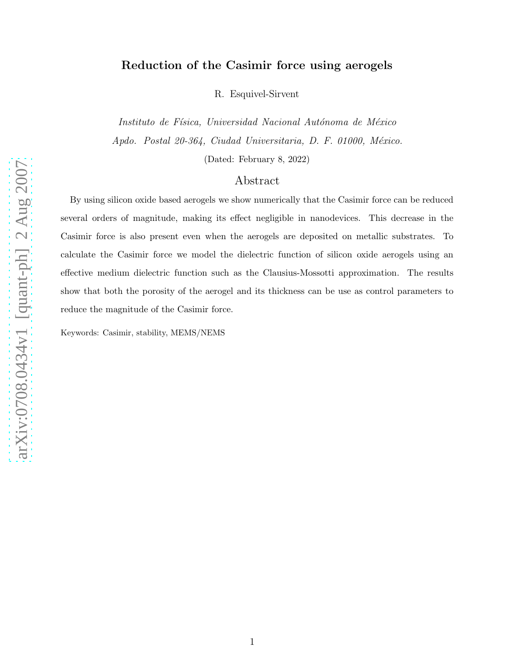## Reduction of the Casimir force using aerogels

R. Esquivel-Sirvent

Instituto de Física, Universidad Nacional Autónoma de México Apdo. Postal  $20-364$ , Ciudad Universitaria, D. F. 01000, México.

(Dated: February 8, 2022)

## Abstract

By using silicon oxide based aerogels we show numerically that the Casimir force can be reduced several orders of magnitude, making its effect negligible in nanodevices. This decrease in the Casimir force is also present even when the aerogels are deposited on metallic substrates. To calculate the Casimir force we model the dielectric function of silicon oxide aerogels using an effective medium dielectric function such as the Clausius-Mossotti approximation. The results show that both the porosity of the aerogel and its thickness can be use as control parameters to reduce the magnitude of the Casimir force.

Keywords: Casimir, stability, MEMS/NEMS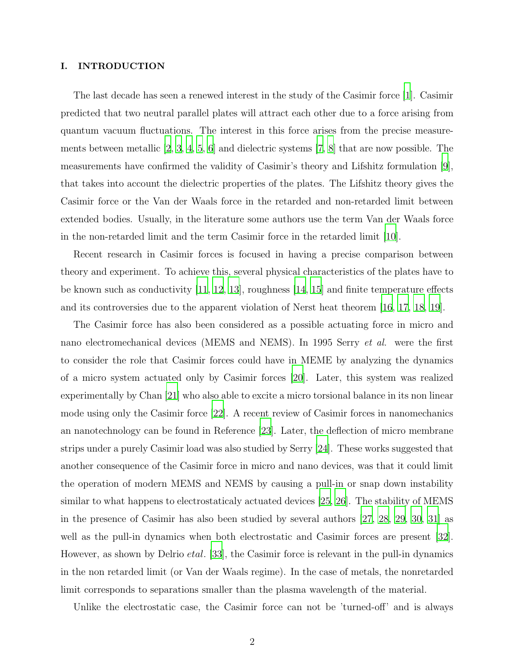### I. INTRODUCTION

The last decade has seen a renewed interest in the study of the Casimir force [\[1\]](#page-7-0). Casimir predicted that two neutral parallel plates will attract each other due to a force arising from quantum vacuum fluctuations. The interest in this force arises from the precise measurements between metallic  $[2, 3, 4, 5, 6]$  $[2, 3, 4, 5, 6]$  $[2, 3, 4, 5, 6]$  $[2, 3, 4, 5, 6]$  $[2, 3, 4, 5, 6]$  $[2, 3, 4, 5, 6]$  $[2, 3, 4, 5, 6]$  and dielectric systems  $[7, 8]$  $[7, 8]$  that are now possible. The measurements have confirmed the validity of Casimir's theory and Lifshitz formulation [\[9\]](#page-7-8), that takes into account the dielectric properties of the plates. The Lifshitz theory gives the Casimir force or the Van der Waals force in the retarded and non-retarded limit between extended bodies. Usually, in the literature some authors use the term Van der Waals force in the non-retarded limit and the term Casimir force in the retarded limit [\[10\]](#page-7-9).

Recent research in Casimir forces is focused in having a precise comparison between theory and experiment. To achieve this, several physical characteristics of the plates have to be known such as conductivity [\[11,](#page-7-10) [12](#page-7-11), [13\]](#page-7-12), roughness [\[14,](#page-7-13) [15](#page-7-14)] and finite temperature effects and its controversies due to the apparent violation of Nerst heat theorem [\[16,](#page-7-15) [17,](#page-7-16) [18,](#page-7-17) [19](#page-7-18)].

The Casimir force has also been considered as a possible actuating force in micro and nano electromechanical devices (MEMS and NEMS). In 1995 Serry et al. were the first to consider the role that Casimir forces could have in MEME by analyzing the dynamics of a micro system actuated only by Casimir forces [\[20\]](#page-7-19). Later, this system was realized experimentally by Chan [\[21](#page-7-20)] who also able to excite a micro torsional balance in its non linear mode using only the Casimir force [\[22\]](#page-7-21). A recent review of Casimir forces in nanomechanics an nanotechnology can be found in Reference [\[23\]](#page-8-0). Later, the deflection of micro membrane strips under a purely Casimir load was also studied by Serry [\[24\]](#page-8-1). These works suggested that another consequence of the Casimir force in micro and nano devices, was that it could limit the operation of modern MEMS and NEMS by causing a pull-in or snap down instability similar to what happens to electrostaticaly actuated devices [\[25](#page-8-2), [26](#page-8-3)]. The stability of MEMS in the presence of Casimir has also been studied by several authors [\[27,](#page-8-4) [28](#page-8-5), [29,](#page-8-6) [30,](#page-8-7) [31](#page-8-8)] as well as the pull-in dynamics when both electrostatic and Casimir forces are present [\[32\]](#page-8-9). However, as shown by Delrio *etal*. [\[33\]](#page-8-10), the Casimir force is relevant in the pull-in dynamics in the non retarded limit (or Van der Waals regime). In the case of metals, the nonretarded limit corresponds to separations smaller than the plasma wavelength of the material.

Unlike the electrostatic case, the Casimir force can not be 'turned-off' and is always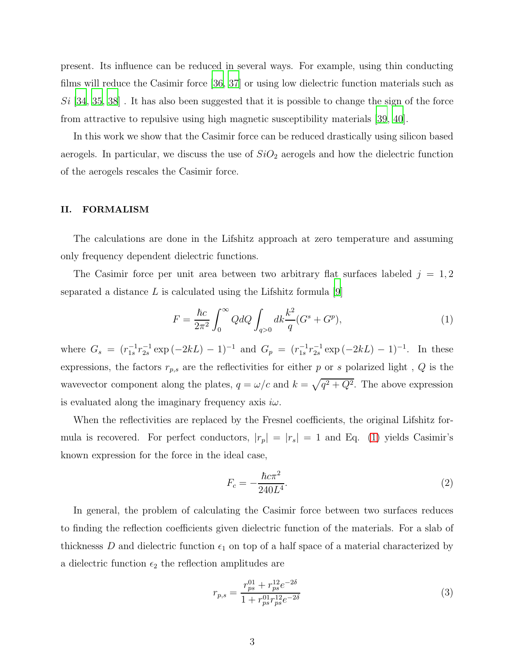present. Its influence can be reduced in several ways. For example, using thin conducting films will reduce the Casimir force [\[36,](#page-8-11) [37](#page-8-12)] or using low dielectric function materials such as  $Si$  [\[34,](#page-8-13) [35](#page-8-14), [38](#page-8-15)]. It has also been suggested that it is possible to change the sign of the force from attractive to repulsive using high magnetic susceptibility materials [\[39,](#page-8-16) [40\]](#page-8-17).

In this work we show that the Casimir force can be reduced drastically using silicon based aerogels. In particular, we discuss the use of  $SiO<sub>2</sub>$  aerogels and how the dielectric function of the aerogels rescales the Casimir force.

### II. FORMALISM

The calculations are done in the Lifshitz approach at zero temperature and assuming only frequency dependent dielectric functions.

The Casimir force per unit area between two arbitrary flat surfaces labeled  $j = 1, 2$ separated a distance  $L$  is calculated using the Lifshitz formula [\[9](#page-7-8)]

<span id="page-2-0"></span>
$$
F = \frac{\hbar c}{2\pi^2} \int_0^\infty Q dQ \int_{q>0} dk \frac{k^2}{q} (G^s + G^p), \tag{1}
$$

where  $G_s = (r_{1s}^{-1}r_{2s}^{-1} \exp(-2kL) - 1)^{-1}$  and  $G_p = (r_{1s}^{-1}r_{2s}^{-1} \exp(-2kL) - 1)^{-1}$ . In these expressions, the factors  $r_{p,s}$  are the reflectivities for either  $p$  or  $s$  polarized light ,  $\boldsymbol{Q}$  is the wavevector component along the plates,  $q = \omega/c$  and  $k = \sqrt{q^2 + Q^2}$ . The above expression is evaluated along the imaginary frequency axis  $i\omega$ .

When the reflectivities are replaced by the Fresnel coefficients, the original Lifshitz formula is recovered. For perfect conductors,  $|r_p| = |r_s| = 1$  and Eq. [\(1\)](#page-2-0) yields Casimir's known expression for the force in the ideal case,

<span id="page-2-1"></span>
$$
F_c = -\frac{\hbar c \pi^2}{240L^4}.
$$
\n(2)

In general, the problem of calculating the Casimir force between two surfaces reduces to finding the reflection coefficients given dielectric function of the materials. For a slab of thicknesss D and dielectric function  $\epsilon_1$  on top of a half space of a material characterized by a dielectric function  $\epsilon_2$  the reflection amplitudes are

<span id="page-2-2"></span>
$$
r_{p,s} = \frac{r_{ps}^{01} + r_{ps}^{12}e^{-2\delta}}{1 + r_{ps}^{01}r_{ps}^{12}e^{-2\delta}}
$$
\n(3)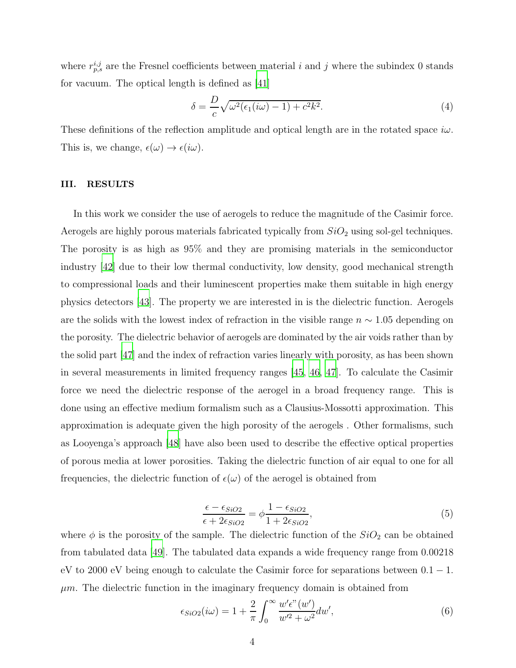where  $r_{p,s}^{i,j}$  are the Fresnel coefficients between material i and j where the subindex 0 stands for vacuum. The optical length is defined as  $|41|$ 

$$
\delta = \frac{D}{c} \sqrt{\omega^2 (\epsilon_1(i\omega) - 1) + c^2 k^2}.
$$
\n(4)

These definitions of the reflection amplitude and optical length are in the rotated space  $i\omega$ . This is, we change,  $\epsilon(\omega) \to \epsilon(i\omega)$ .

#### III. RESULTS

In this work we consider the use of aerogels to reduce the magnitude of the Casimir force. Aerogels are highly porous materials fabricated typically from  $SiO<sub>2</sub>$  using sol-gel techniques. The porosity is as high as 95% and they are promising materials in the semiconductor industry [\[42\]](#page-8-19) due to their low thermal conductivity, low density, good mechanical strength to compressional loads and their luminescent properties make them suitable in high energy physics detectors [\[43](#page-8-20)]. The property we are interested in is the dielectric function. Aerogels are the solids with the lowest index of refraction in the visible range  $n \sim 1.05$  depending on the porosity. The dielectric behavior of aerogels are dominated by the air voids rather than by the solid part [\[47](#page-9-0)] and the index of refraction varies linearly with porosity, as has been shown in several measurements in limited frequency ranges [\[45](#page-8-21), [46](#page-8-22), [47\]](#page-9-0). To calculate the Casimir force we need the dielectric response of the aerogel in a broad frequency range. This is done using an effective medium formalism such as a Clausius-Mossotti approximation. This approximation is adequate given the high porosity of the aerogels . Other formalisms, such as Looyenga's approach [\[48\]](#page-9-1) have also been used to describe the effective optical properties of porous media at lower porosities. Taking the dielectric function of air equal to one for all frequencies, the dielectric function of  $\epsilon(\omega)$  of the aerogel is obtained from

<span id="page-3-0"></span>
$$
\frac{\epsilon - \epsilon_{SiO2}}{\epsilon + 2\epsilon_{SiO2}} = \phi \frac{1 - \epsilon_{SiO2}}{1 + 2\epsilon_{SiO2}},\tag{5}
$$

where  $\phi$  is the porosity of the sample. The dielectric function of the  $SiO_2$  can be obtained from tabulated data [\[49\]](#page-9-2). The tabulated data expands a wide frequency range from 0.00218 eV to 2000 eV being enough to calculate the Casimir force for separations between  $0.1 - 1$ .  $\mu$ m. The dielectric function in the imaginary frequency domain is obtained from

$$
\epsilon_{SiO2}(i\omega) = 1 + \frac{2}{\pi} \int_0^\infty \frac{w' \epsilon''(w')}{w'^2 + \omega^2} dw',\tag{6}
$$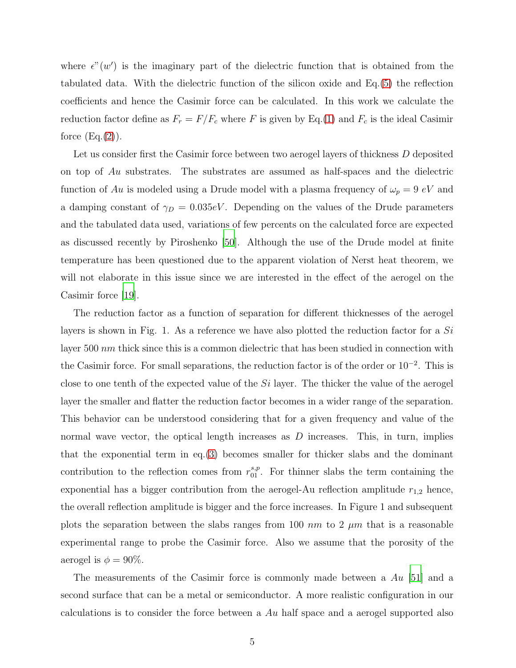where  $\epsilon''(w')$  is the imaginary part of the dielectric function that is obtained from the tabulated data. With the dielectric function of the silicon oxide and Eq.[\(5\)](#page-3-0) the reflection coefficients and hence the Casimir force can be calculated. In this work we calculate the reduction factor define as  $F_r = F/F_c$  where F is given by Eq.[\(1\)](#page-2-0) and  $F_c$  is the ideal Casimir force  $(Eq.(2))$  $(Eq.(2))$  $(Eq.(2))$ .

Let us consider first the Casimir force between two aerogel layers of thickness D deposited on top of Au substrates. The substrates are assumed as half-spaces and the dielectric function of Au is modeled using a Drude model with a plasma frequency of  $\omega_p = 9 eV$  and a damping constant of  $\gamma_D = 0.035eV$ . Depending on the values of the Drude parameters and the tabulated data used, variations of few percents on the calculated force are expected as discussed recently by Piroshenko [\[50](#page-9-3)]. Although the use of the Drude model at finite temperature has been questioned due to the apparent violation of Nerst heat theorem, we will not elaborate in this issue since we are interested in the effect of the aerogel on the Casimir force [\[19\]](#page-7-18).

The reduction factor as a function of separation for different thicknesses of the aerogel layers is shown in Fig. 1. As a reference we have also plotted the reduction factor for a Si layer 500 nm thick since this is a common dielectric that has been studied in connection with the Casimir force. For small separations, the reduction factor is of the order or 10<sup>−</sup><sup>2</sup> . This is close to one tenth of the expected value of the  $Si$  layer. The thicker the value of the aerogel layer the smaller and flatter the reduction factor becomes in a wider range of the separation. This behavior can be understood considering that for a given frequency and value of the normal wave vector, the optical length increases as  $D$  increases. This, in turn, implies that the exponential term in eq.[\(3\)](#page-2-2) becomes smaller for thicker slabs and the dominant contribution to the reflection comes from  $r_{01}^{s,p}$ . For thinner slabs the term containing the exponential has a bigger contribution from the aerogel-Au reflection amplitude  $r_{1,2}$  hence, the overall reflection amplitude is bigger and the force increases. In Figure 1 and subsequent plots the separation between the slabs ranges from 100 nm to 2  $\mu$ m that is a reasonable experimental range to probe the Casimir force. Also we assume that the porosity of the aerogel is  $\phi = 90\%$ .

The measurements of the Casimir force is commonly made between a  $Au$  [\[51](#page-9-4)] and a second surface that can be a metal or semiconductor. A more realistic configuration in our calculations is to consider the force between a Au half space and a aerogel supported also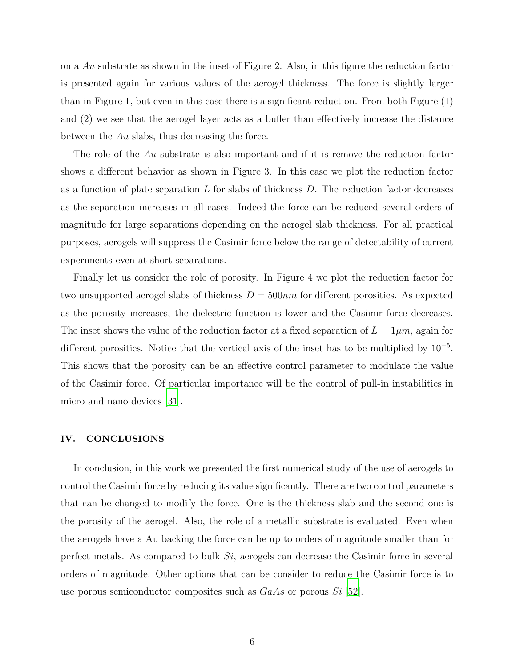on a Au substrate as shown in the inset of Figure 2. Also, in this figure the reduction factor is presented again for various values of the aerogel thickness. The force is slightly larger than in Figure 1, but even in this case there is a significant reduction. From both Figure (1) and (2) we see that the aerogel layer acts as a buffer than effectively increase the distance between the Au slabs, thus decreasing the force.

The role of the Au substrate is also important and if it is remove the reduction factor shows a different behavior as shown in Figure 3. In this case we plot the reduction factor as a function of plate separation  $L$  for slabs of thickness  $D$ . The reduction factor decreases as the separation increases in all cases. Indeed the force can be reduced several orders of magnitude for large separations depending on the aerogel slab thickness. For all practical purposes, aerogels will suppress the Casimir force below the range of detectability of current experiments even at short separations.

Finally let us consider the role of porosity. In Figure 4 we plot the reduction factor for two unsupported aerogel slabs of thickness  $D = 500nm$  for different porosities. As expected as the porosity increases, the dielectric function is lower and the Casimir force decreases. The inset shows the value of the reduction factor at a fixed separation of  $L = 1 \mu m$ , again for different porosities. Notice that the vertical axis of the inset has to be multiplied by 10<sup>−</sup><sup>5</sup> . This shows that the porosity can be an effective control parameter to modulate the value of the Casimir force. Of particular importance will be the control of pull-in instabilities in micro and nano devices [\[31\]](#page-8-8).

#### IV. CONCLUSIONS

In conclusion, in this work we presented the first numerical study of the use of aerogels to control the Casimir force by reducing its value significantly. There are two control parameters that can be changed to modify the force. One is the thickness slab and the second one is the porosity of the aerogel. Also, the role of a metallic substrate is evaluated. Even when the aerogels have a Au backing the force can be up to orders of magnitude smaller than for perfect metals. As compared to bulk Si, aerogels can decrease the Casimir force in several orders of magnitude. Other options that can be consider to reduce the Casimir force is to use porous semiconductor composites such as  $GaAs$  or porous  $Si$  [\[52\]](#page-9-5).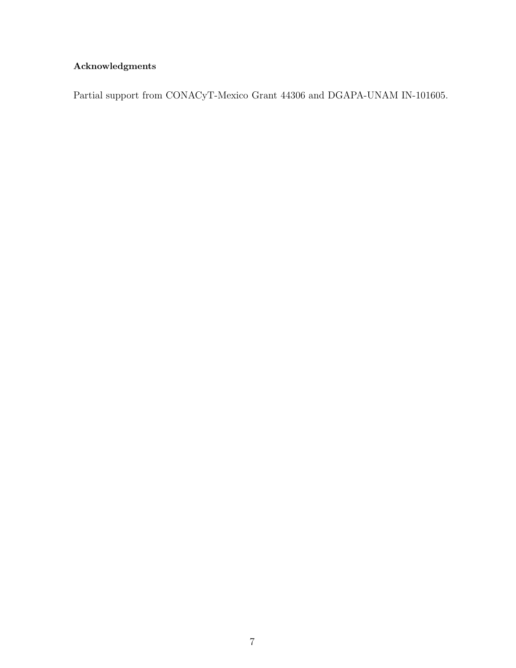# Acknowledgments

Partial support from CONACyT-Mexico Grant 44306 and DGAPA-UNAM IN-101605.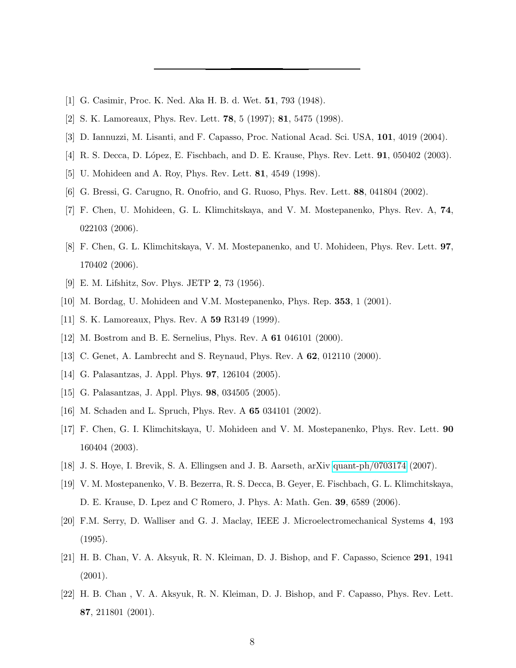- <span id="page-7-1"></span><span id="page-7-0"></span>[1] G. Casimir, Proc. K. Ned. Aka H. B. d. Wet. 51, 793 (1948).
- <span id="page-7-2"></span>[2] S. K. Lamoreaux, Phys. Rev. Lett. 78, 5 (1997); 81, 5475 (1998).
- <span id="page-7-3"></span>[3] D. Iannuzzi, M. Lisanti, and F. Capasso, Proc. National Acad. Sci. USA, 101, 4019 (2004).
- <span id="page-7-4"></span>[4] R. S. Decca, D. López, E. Fischbach, and D. E. Krause, Phys. Rev. Lett. **91**, 050402 (2003).
- <span id="page-7-5"></span>[5] U. Mohideen and A. Roy, Phys. Rev. Lett. 81, 4549 (1998).
- <span id="page-7-6"></span>[6] G. Bressi, G. Carugno, R. Onofrio, and G. Ruoso, Phys. Rev. Lett. 88, 041804 (2002).
- [7] F. Chen, U. Mohideen, G. L. Klimchitskaya, and V. M. Mostepanenko, Phys. Rev. A, 74, 022103 (2006).
- <span id="page-7-7"></span>[8] F. Chen, G. L. Klimchitskaya, V. M. Mostepanenko, and U. Mohideen, Phys. Rev. Lett. 97, 170402 (2006).
- <span id="page-7-8"></span>[9] E. M. Lifshitz, Sov. Phys. JETP 2, 73 (1956).
- <span id="page-7-9"></span>[10] M. Bordag, U. Mohideen and V.M. Mostepanenko, Phys. Rep. 353, 1 (2001).
- <span id="page-7-10"></span>[11] S. K. Lamoreaux, Phys. Rev. A **59** R3149 (1999).
- <span id="page-7-12"></span><span id="page-7-11"></span>[12] M. Bostrom and B. E. Sernelius, Phys. Rev. A 61 046101 (2000).
- [13] C. Genet, A. Lambrecht and S. Reynaud, Phys. Rev. A **62**, 012110 (2000).
- <span id="page-7-14"></span><span id="page-7-13"></span>[14] G. Palasantzas, J. Appl. Phys. 97, 126104 (2005).
- <span id="page-7-15"></span>[15] G. Palasantzas, J. Appl. Phys. 98, 034505 (2005).
- [16] M. Schaden and L. Spruch, Phys. Rev. A 65 034101 (2002).
- <span id="page-7-16"></span>[17] F. Chen, G. I. Klimchitskaya, U. Mohideen and V. M. Mostepanenko, Phys. Rev. Lett. 90 160404 (2003).
- <span id="page-7-17"></span>[18] J. S. Hoye, I. Brevik, S. A. Ellingsen and J. B. Aarseth, arXiv [quant-ph/0703174](http://arxiv.org/abs/quant-ph/0703174) (2007).
- <span id="page-7-18"></span>[19] V. M. Mostepanenko, V. B. Bezerra, R. S. Decca, B. Geyer, E. Fischbach, G. L. Klimchitskaya, D. E. Krause, D. Lpez and C Romero, J. Phys. A: Math. Gen. 39, 6589 (2006).
- <span id="page-7-19"></span>[20] F.M. Serry, D. Walliser and G. J. Maclay, IEEE J. Microelectromechanical Systems 4, 193 (1995).
- <span id="page-7-20"></span>[21] H. B. Chan, V. A. Aksyuk, R. N. Kleiman, D. J. Bishop, and F. Capasso, Science 291, 1941 (2001).
- <span id="page-7-21"></span>[22] H. B. Chan , V. A. Aksyuk, R. N. Kleiman, D. J. Bishop, and F. Capasso, Phys. Rev. Lett. 87, 211801 (2001).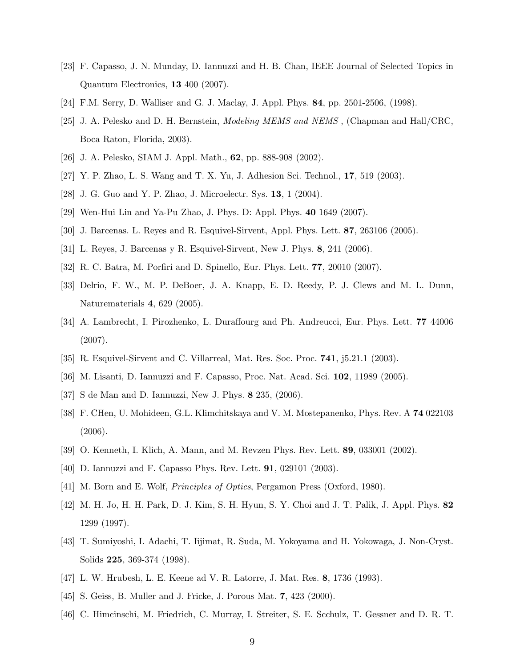- <span id="page-8-0"></span>[23] F. Capasso, J. N. Munday, D. Iannuzzi and H. B. Chan, IEEE Journal of Selected Topics in Quantum Electronics, 13 400 (2007).
- <span id="page-8-1"></span>[24] F.M. Serry, D. Walliser and G. J. Maclay, J. Appl. Phys. 84, pp. 2501-2506, (1998).
- <span id="page-8-2"></span>[25] J. A. Pelesko and D. H. Bernstein, *Modeling MEMS and NEMS*, (Chapman and Hall/CRC, Boca Raton, Florida, 2003).
- <span id="page-8-4"></span><span id="page-8-3"></span>[26] J. A. Pelesko, SIAM J. Appl. Math., 62, pp. 888-908 (2002).
- <span id="page-8-5"></span>[27] Y. P. Zhao, L. S. Wang and T. X. Yu, J. Adhesion Sci. Technol., 17, 519 (2003).
- <span id="page-8-6"></span>[28] J. G. Guo and Y. P. Zhao, J. Microelectr. Sys. 13, 1 (2004).
- <span id="page-8-7"></span>[29] Wen-Hui Lin and Ya-Pu Zhao, J. Phys. D: Appl. Phys. 40 1649 (2007).
- <span id="page-8-8"></span>[30] J. Barcenas. L. Reyes and R. Esquivel-Sirvent, Appl. Phys. Lett. 87, 263106 (2005).
- <span id="page-8-9"></span>[31] L. Reyes, J. Barcenas y R. Esquivel-Sirvent, New J. Phys. 8, 241 (2006).
- <span id="page-8-10"></span>[32] R. C. Batra, M. Porfiri and D. Spinello, Eur. Phys. Lett. 77, 20010 (2007).
- [33] Delrio, F. W., M. P. DeBoer, J. A. Knapp, E. D. Reedy, P. J. Clews and M. L. Dunn, Naturematerials 4, 629 (2005).
- <span id="page-8-13"></span>[34] A. Lambrecht, I. Pirozhenko, L. Duraffourg and Ph. Andreucci, Eur. Phys. Lett. 77 44006 (2007).
- <span id="page-8-14"></span>[35] R. Esquivel-Sirvent and C. Villarreal, Mat. Res. Soc. Proc. 741, j5.21.1 (2003).
- <span id="page-8-11"></span>[36] M. Lisanti, D. Iannuzzi and F. Capasso, Proc. Nat. Acad. Sci. 102, 11989 (2005).
- <span id="page-8-12"></span>[37] S de Man and D. Iannuzzi, New J. Phys. 8 235, (2006).
- <span id="page-8-15"></span>[38] F. CHen, U. Mohideen, G.L. Klimchitskaya and V. M. Mostepanenko, Phys. Rev. A 74 022103 (2006).
- <span id="page-8-16"></span>[39] O. Kenneth, I. Klich, A. Mann, and M. Revzen Phys. Rev. Lett. 89, 033001 (2002).
- <span id="page-8-18"></span><span id="page-8-17"></span>[40] D. Iannuzzi and F. Capasso Phys. Rev. Lett. 91, 029101 (2003).
- <span id="page-8-19"></span>[41] M. Born and E. Wolf, Principles of Optics, Pergamon Press (Oxford, 1980).
- [42] M. H. Jo, H. H. Park, D. J. Kim, S. H. Hyun, S. Y. Choi and J. T. Palik, J. Appl. Phys. 82 1299 (1997).
- <span id="page-8-20"></span>[43] T. Sumiyoshi, I. Adachi, T. Iijimat, R. Suda, M. Yokoyama and H. Yokowaga, J. Non-Cryst. Solids 225, 369-374 (1998).
- [47] L. W. Hrubesh, L. E. Keene ad V. R. Latorre, J. Mat. Res. 8, 1736 (1993).
- <span id="page-8-21"></span>[45] S. Geiss, B. Muller and J. Fricke, J. Porous Mat. 7, 423 (2000).
- <span id="page-8-22"></span>[46] C. Himcinschi, M. Friedrich, C. Murray, I. Streiter, S. E. Scchulz, T. Gessner and D. R. T.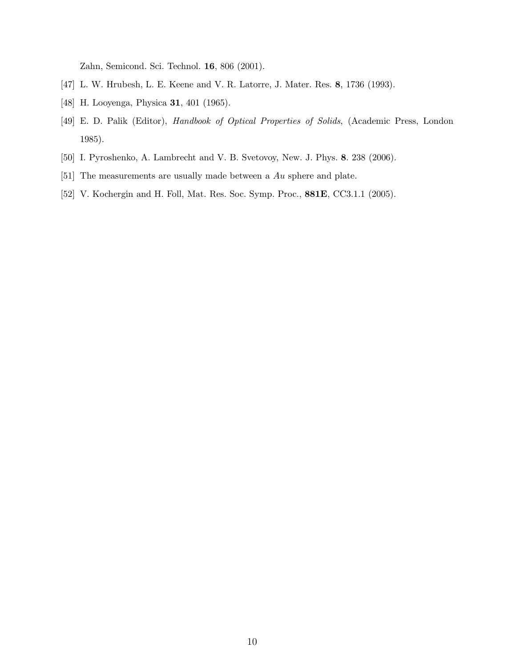Zahn, Semicond. Sci. Technol. 16, 806 (2001).

- <span id="page-9-1"></span><span id="page-9-0"></span>[47] L. W. Hrubesh, L. E. Keene and V. R. Latorre, J. Mater. Res. 8, 1736 (1993).
- [48] H. Looyenga, Physica 31, 401 (1965).
- <span id="page-9-2"></span>[49] E. D. Palik (Editor), Handbook of Optical Properties of Solids, (Academic Press, London 1985).
- <span id="page-9-4"></span><span id="page-9-3"></span>[50] I. Pyroshenko, A. Lambrecht and V. B. Svetovoy, New. J. Phys. 8. 238 (2006).
- <span id="page-9-5"></span>[51] The measurements are usually made between a Au sphere and plate.
- [52] V. Kochergin and H. Foll, Mat. Res. Soc. Symp. Proc., 881E, CC3.1.1 (2005).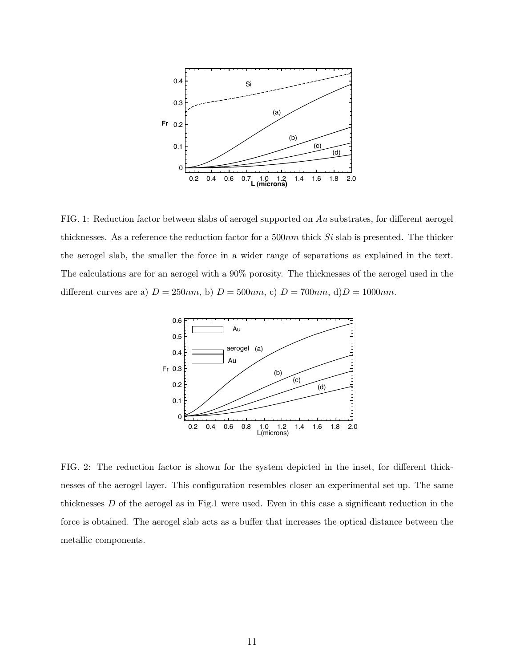

FIG. 1: Reduction factor between slabs of aerogel supported on Au substrates, for different aerogel thicknesses. As a reference the reduction factor for a  $500nm$  thick  $Si$  slab is presented. The thicker the aerogel slab, the smaller the force in a wider range of separations as explained in the text. The calculations are for an aerogel with a 90% porosity. The thicknesses of the aerogel used in the different curves are a)  $D = 250nm$ , b)  $D = 500nm$ , c)  $D = 700nm$ , d) $D = 1000nm$ .



FIG. 2: The reduction factor is shown for the system depicted in the inset, for different thicknesses of the aerogel layer. This configuration resembles closer an experimental set up. The same thicknesses D of the aerogel as in Fig.1 were used. Even in this case a significant reduction in the force is obtained. The aerogel slab acts as a buffer that increases the optical distance between the metallic components.